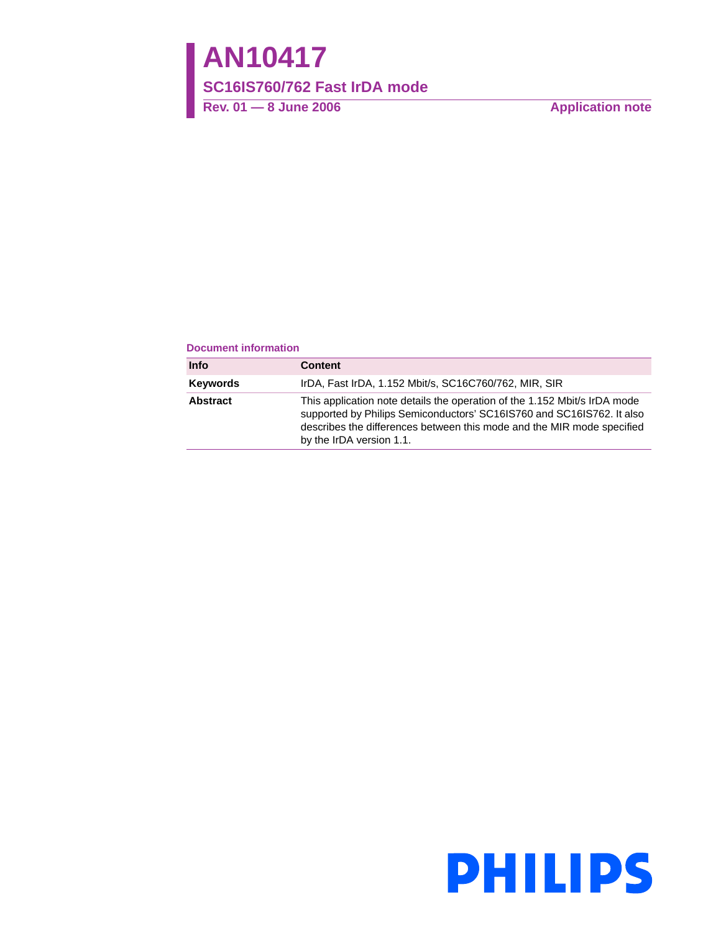# **AN10417**

### **SC16IS760/762 Fast IrDA mode**

Rev. 01 — 8 June 2006 **Application note** 

#### **Document information**

| <b>Info</b> | <b>Content</b>                                                                                                                                                                                                                                           |
|-------------|----------------------------------------------------------------------------------------------------------------------------------------------------------------------------------------------------------------------------------------------------------|
| Keywords    | IrDA, Fast IrDA, 1.152 Mbit/s, SC16C760/762, MIR, SIR                                                                                                                                                                                                    |
| Abstract    | This application note details the operation of the 1.152 Mbit/s IrDA mode<br>supported by Philips Semiconductors' SC16IS760 and SC16IS762. It also<br>describes the differences between this mode and the MIR mode specified<br>by the IrDA version 1.1. |

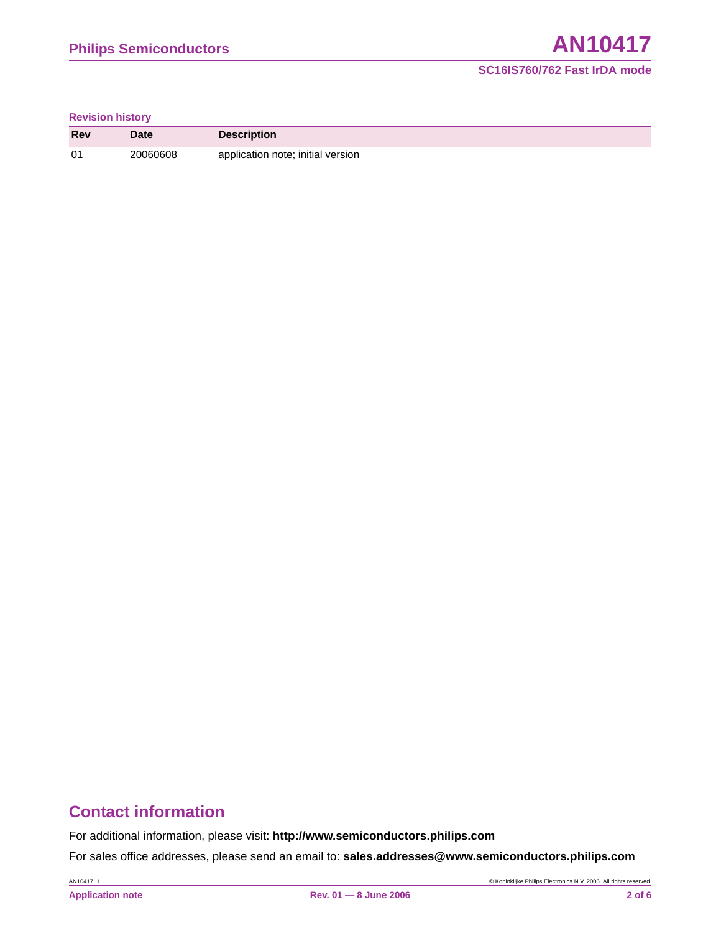#### **Revision history**

| Rev | Date     | <b>Description</b>                |
|-----|----------|-----------------------------------|
| 01  | 20060608 | application note; initial version |

# **Contact information**

For additional information, please visit: **http://www.semiconductors.philips.com**

For sales office addresses, please send an email to: **sales.addresses@www.semiconductors.philips.com**

AN10417\_1 © Koninklijke Philips Electronics N.V. 2006. All rights reserved.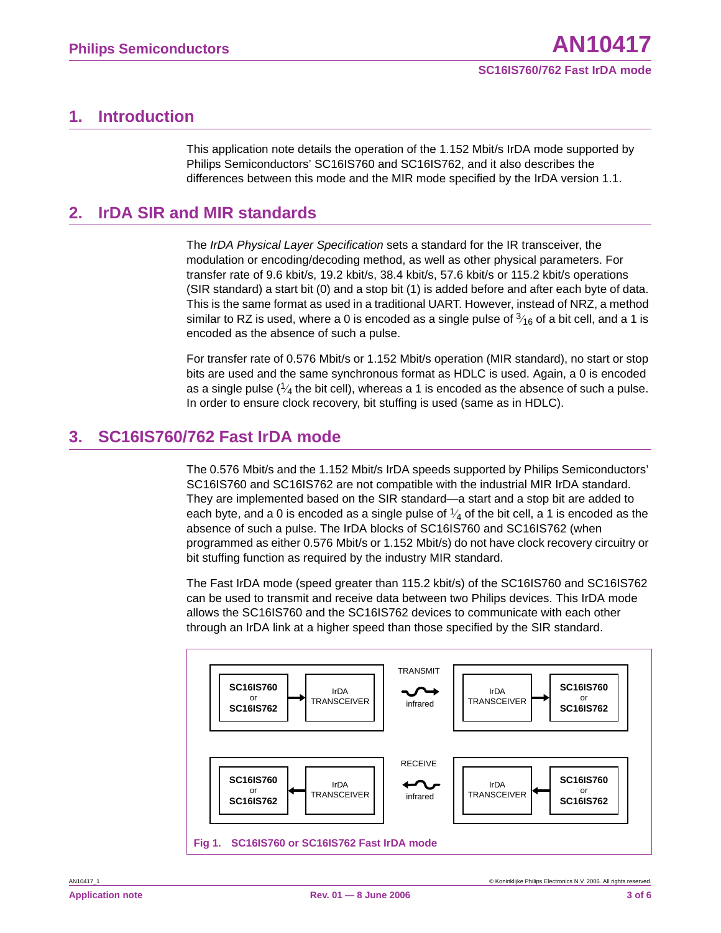## **1. Introduction**

This application note details the operation of the 1.152 Mbit/s IrDA mode supported by Philips Semiconductors' SC16IS760 and SC16IS762, and it also describes the differences between this mode and the MIR mode specified by the IrDA version 1.1.

## **2. IrDA SIR and MIR standards**

The *IrDA Physical Layer Specification* sets a standard for the IR transceiver, the modulation or encoding/decoding method, as well as other physical parameters. For transfer rate of 9.6 kbit/s, 19.2 kbit/s, 38.4 kbit/s, 57.6 kbit/s or 115.2 kbit/s operations (SIR standard) a start bit (0) and a stop bit (1) is added before and after each byte of data. This is the same format as used in a traditional UART. However, instead of NRZ, a method similar to RZ is used, where a 0 is encoded as a single pulse of  $\frac{3}{16}$  of a bit cell, and a 1 is encoded as the absence of such a pulse.

For transfer rate of 0.576 Mbit/s or 1.152 Mbit/s operation (MIR standard), no start or stop bits are used and the same synchronous format as HDLC is used. Again, a 0 is encoded as a single pulse ( $\frac{1}{4}$  the bit cell), whereas a 1 is encoded as the absence of such a pulse. In order to ensure clock recovery, bit stuffing is used (same as in HDLC).

## **3. SC16IS760/762 Fast IrDA mode**

The 0.576 Mbit/s and the 1.152 Mbit/s IrDA speeds supported by Philips Semiconductors' SC16IS760 and SC16IS762 are not compatible with the industrial MIR IrDA standard. They are implemented based on the SIR standard—a start and a stop bit are added to each byte, and a 0 is encoded as a single pulse of  $\frac{1}{4}$  of the bit cell, a 1 is encoded as the absence of such a pulse. The IrDA blocks of SC16IS760 and SC16IS762 (when programmed as either 0.576 Mbit/s or 1.152 Mbit/s) do not have clock recovery circuitry or bit stuffing function as required by the industry MIR standard.

The Fast IrDA mode (speed greater than 115.2 kbit/s) of the SC16IS760 and SC16IS762 can be used to transmit and receive data between two Philips devices. This IrDA mode allows the SC16IS760 and the SC16IS762 devices to communicate with each other through an IrDA link at a higher speed than those specified by the SIR standard.

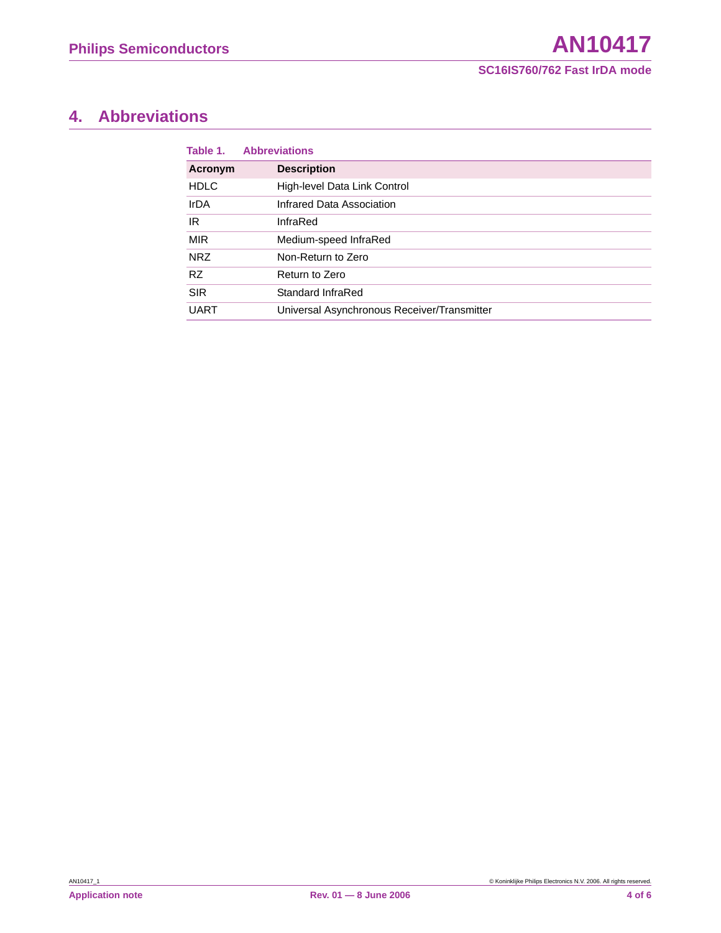# **4. Abbreviations**

| Table 1.    | <b>Abbreviations</b>                        |
|-------------|---------------------------------------------|
| Acronym     | <b>Description</b>                          |
| <b>HDLC</b> | High-level Data Link Control                |
| <b>IrDA</b> | Infrared Data Association                   |
| IR          | InfraRed                                    |
| <b>MIR</b>  | Medium-speed InfraRed                       |
| <b>NRZ</b>  | Non-Return to Zero                          |
| <b>RZ</b>   | Return to Zero                              |
| <b>SIR</b>  | Standard InfraRed                           |
| <b>UART</b> | Universal Asynchronous Receiver/Transmitter |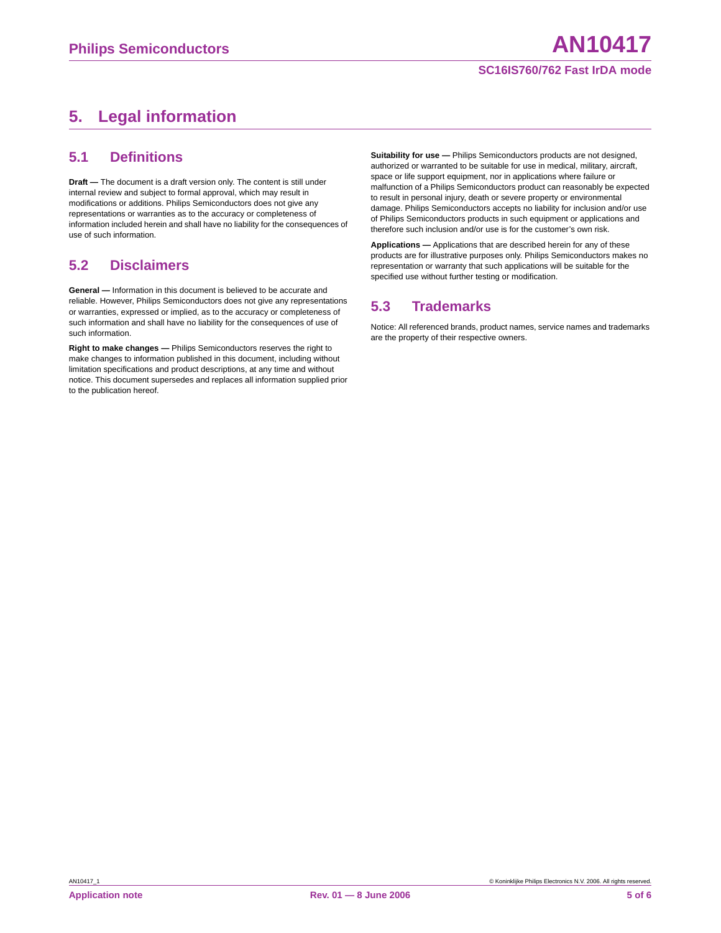#### **SC16IS760/762 Fast IrDA mode**

# **5. Legal information**

#### **5.1 Definitions**

**Draft —** The document is a draft version only. The content is still under internal review and subject to formal approval, which may result in modifications or additions. Philips Semiconductors does not give any representations or warranties as to the accuracy or completeness of information included herein and shall have no liability for the consequences of use of such information.

#### **5.2 Disclaimers**

**General —** Information in this document is believed to be accurate and reliable. However, Philips Semiconductors does not give any representations or warranties, expressed or implied, as to the accuracy or completeness of such information and shall have no liability for the consequences of use of such information.

**Right to make changes —** Philips Semiconductors reserves the right to make changes to information published in this document, including without limitation specifications and product descriptions, at any time and without notice. This document supersedes and replaces all information supplied prior to the publication hereof.

**Suitability for use —** Philips Semiconductors products are not designed, authorized or warranted to be suitable for use in medical, military, aircraft, space or life support equipment, nor in applications where failure or malfunction of a Philips Semiconductors product can reasonably be expected to result in personal injury, death or severe property or environmental damage. Philips Semiconductors accepts no liability for inclusion and/or use of Philips Semiconductors products in such equipment or applications and therefore such inclusion and/or use is for the customer's own risk.

**Applications —** Applications that are described herein for any of these products are for illustrative purposes only. Philips Semiconductors makes no representation or warranty that such applications will be suitable for the specified use without further testing or modification.

#### **5.3 Trademarks**

Notice: All referenced brands, product names, service names and trademarks are the property of their respective owners.